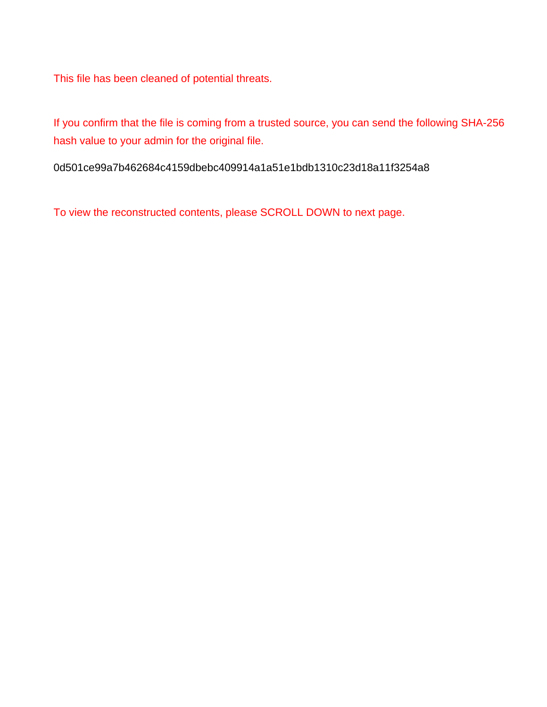This file has been cleaned of potential threats.

If you confirm that the file is coming from a trusted source, you can send the following SHA-256 hash value to your admin for the original file.

0d501ce99a7b462684c4159dbebc409914a1a51e1bdb1310c23d18a11f3254a8

To view the reconstructed contents, please SCROLL DOWN to next page.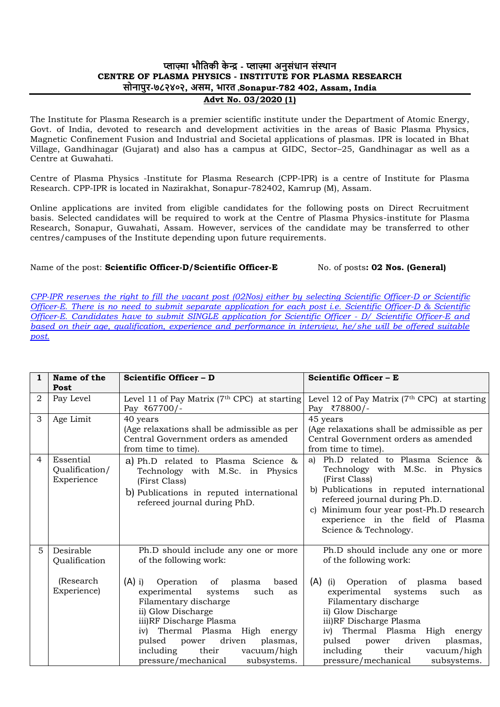# **प्लाज़्मा भौतिकी के न्द्र - प्लाज़्मा अनुसंधान संस्थान CENTRE OF PLASMA PHYSICS - INSTITUTE FOR PLASMA RESEARCH सोनापुर-७८२४०२, असम, भारि ,Sonapur-782 402, Assam, India**

### **Advt No. 03/2020 (1)**

The Institute for Plasma Research is a premier scientific institute under the Department of Atomic Energy, Govt. of India, devoted to research and development activities in the areas of Basic Plasma Physics, Magnetic Confinement Fusion and Industrial and Societal applications of plasmas. IPR is located in Bhat Village, Gandhinagar (Gujarat) and also has a campus at GIDC, Sector–25, Gandhinagar as well as a Centre at Guwahati.

Centre of Plasma Physics -Institute for Plasma Research (CPP-IPR) is a centre of Institute for Plasma Research. CPP-IPR is located in Nazirakhat, Sonapur-782402, Kamrup (M), Assam.

Online applications are invited from eligible candidates for the following posts on Direct Recruitment basis. Selected candidates will be required to work at the Centre of Plasma Physics-institute for Plasma Research, Sonapur, Guwahati, Assam. However, services of the candidate may be transferred to other centres/campuses of the Institute depending upon future requirements.

# Name of the post: **Scientific Officer-D/Scientific Officer-E** No. of posts: 02 Nos. (General)

*CPP-IPR reserves the right to fill the vacant post (02Nos) either by selecting Scientific Officer-D or Scientific Officer-E. There is no need to submit separate application for each post i.e. Scientific Officer-D & Scientific Officer-E. Candidates have to submit SINGLE application for Scientific Officer - D/ Scientific Officer-E and based on their age, qualification, experience and performance in interview, he/she will be offered suitable post.*

| $\mathbf{1}$   | Name of the<br>Post                                    | Scientific Officer - D                                                                                                                                                                                                                                                                                                                                                 | Scientific Officer - E                                                                                                                                                                                                                                                                                                                                                        |  |  |
|----------------|--------------------------------------------------------|------------------------------------------------------------------------------------------------------------------------------------------------------------------------------------------------------------------------------------------------------------------------------------------------------------------------------------------------------------------------|-------------------------------------------------------------------------------------------------------------------------------------------------------------------------------------------------------------------------------------------------------------------------------------------------------------------------------------------------------------------------------|--|--|
| $\overline{2}$ | Pay Level                                              | Level 11 of Pay Matrix (7 <sup>th</sup> CPC) at starting<br>Pay ₹67700/-                                                                                                                                                                                                                                                                                               | Level 12 of Pay Matrix ( $7th$ CPC) at starting<br>Pay ₹78800/-                                                                                                                                                                                                                                                                                                               |  |  |
| 3              | Age Limit                                              | 40 years<br>(Age relaxations shall be admissible as per<br>Central Government orders as amended<br>from time to time).                                                                                                                                                                                                                                                 | 45 years<br>(Age relaxations shall be admissible as per<br>Central Government orders as amended<br>from time to time).                                                                                                                                                                                                                                                        |  |  |
| $\overline{4}$ | Essential<br>Qualification/<br>Experience              | a) Ph.D related to Plasma Science &<br>Technology with M.Sc. in Physics<br>(First Class)<br>b) Publications in reputed international<br>refereed journal during PhD.                                                                                                                                                                                                   | Ph.D related to Plasma Science &<br>a)<br>Technology with M.Sc. in Physics<br>(First Class)<br>b) Publications in reputed international<br>refereed journal during Ph.D.<br>Minimum four year post-Ph.D research<br>$\mathbf{C}$<br>experience in the field of Plasma<br>Science & Technology.                                                                                |  |  |
| 5              | Desirable<br>Qualification<br>(Research<br>Experience) | Ph.D should include any one or more<br>of the following work:<br>$(A)$ i)<br>Operation of plasma<br>based<br>experimental systems<br>such<br>as<br>Filamentary discharge<br>ii) Glow Discharge<br>iii)RF Discharge Plasma<br>iv) Thermal Plasma High energy<br>pulsed power driven<br>plasmas,<br>including<br>their<br>vacuum/high<br>pressure/mechanical subsystems. | Ph.D should include any one or more<br>of the following work:<br>$(A)$ (i)<br>Operation of plasma<br>based<br>experimental systems<br>such<br>as<br>Filamentary discharge<br>ii) Glow Discharge<br>iii)RF Discharge Plasma<br>iv) Thermal Plasma High energy<br>driven<br>pulsed power<br>plasmas,<br>including<br>their<br>vacuum/high<br>pressure/mechanical<br>subsystems. |  |  |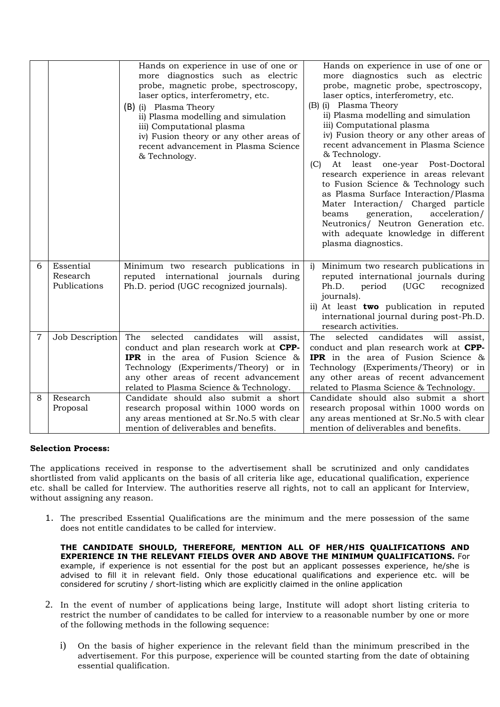|   |                                       | Hands on experience in use of one or<br>more diagnostics such as electric<br>probe, magnetic probe, spectroscopy,<br>laser optics, interferometry, etc.<br>(B) (i) Plasma Theory<br>ii) Plasma modelling and simulation<br>iii) Computational plasma<br>iv) Fusion theory or any other areas of<br>recent advancement in Plasma Science<br>& Technology. | Hands on experience in use of one or<br>more diagnostics such as electric<br>probe, magnetic probe, spectroscopy,<br>laser optics, interferometry, etc.<br>(B) (i) Plasma Theory<br>ii) Plasma modelling and simulation<br>iii) Computational plasma<br>iv) Fusion theory or any other areas of<br>recent advancement in Plasma Science<br>& Technology.<br>At least one-year Post-Doctoral<br>(C)<br>research experience in areas relevant<br>to Fusion Science & Technology such<br>as Plasma Surface Interaction/Plasma<br>Mater Interaction/ Charged particle<br>acceleration/<br>beams<br>generation,<br>Neutronics/ Neutron Generation etc.<br>with adequate knowledge in different<br>plasma diagnostics. |
|---|---------------------------------------|----------------------------------------------------------------------------------------------------------------------------------------------------------------------------------------------------------------------------------------------------------------------------------------------------------------------------------------------------------|------------------------------------------------------------------------------------------------------------------------------------------------------------------------------------------------------------------------------------------------------------------------------------------------------------------------------------------------------------------------------------------------------------------------------------------------------------------------------------------------------------------------------------------------------------------------------------------------------------------------------------------------------------------------------------------------------------------|
| 6 | Essential<br>Research<br>Publications | Minimum two research publications in<br>reputed international journals during<br>Ph.D. period (UGC recognized journals).                                                                                                                                                                                                                                 | Minimum two research publications in<br>i)<br>reputed international journals during<br>Ph.D.<br>(UGC<br>recognized<br>period<br>journals).<br>ii) At least two publication in reputed<br>international journal during post-Ph.D.<br>research activities.                                                                                                                                                                                                                                                                                                                                                                                                                                                         |
| 7 | Job Description                       | The<br>selected<br>candidates will<br>assist,<br>conduct and plan research work at CPP-<br><b>IPR</b> in the area of Fusion Science &<br>Technology (Experiments/Theory) or in<br>any other areas of recent advancement<br>related to Plasma Science & Technology.                                                                                       | The<br>selected candidates will<br>assist,<br>conduct and plan research work at CPP-<br><b>IPR</b> in the area of Fusion Science &<br>Technology (Experiments/Theory) or in<br>any other areas of recent advancement<br>related to Plasma Science & Technology.                                                                                                                                                                                                                                                                                                                                                                                                                                                  |
| 8 | Research<br>Proposal                  | Candidate should also submit a short<br>research proposal within 1000 words on<br>any areas mentioned at Sr.No.5 with clear<br>mention of deliverables and benefits.                                                                                                                                                                                     | Candidate should also submit a short<br>research proposal within 1000 words on<br>any areas mentioned at Sr.No.5 with clear<br>mention of deliverables and benefits.                                                                                                                                                                                                                                                                                                                                                                                                                                                                                                                                             |

#### **Selection Process:**

The applications received in response to the advertisement shall be scrutinized and only candidates shortlisted from valid applicants on the basis of all criteria like age, educational qualification, experience etc. shall be called for Interview. The authorities reserve all rights, not to call an applicant for Interview, without assigning any reason.

1. The prescribed Essential Qualifications are the minimum and the mere possession of the same does not entitle candidates to be called for interview.

**THE CANDIDATE SHOULD, THEREFORE, MENTION ALL OF HER/HIS QUALIFICATIONS AND EXPERIENCE IN THE RELEVANT FIELDS OVER AND ABOVE THE MINIMUM QUALIFICATIONS.** For example, if experience is not essential for the post but an applicant possesses experience, he/she is advised to fill it in relevant field. Only those educational qualifications and experience etc. will be considered for scrutiny / short-listing which are explicitly claimed in the online application

- 2. In the event of number of applications being large, Institute will adopt short listing criteria to restrict the number of candidates to be called for interview to a reasonable number by one or more of the following methods in the following sequence:
	- i) On the basis of higher experience in the relevant field than the minimum prescribed in the advertisement. For this purpose, experience will be counted starting from the date of obtaining essential qualification.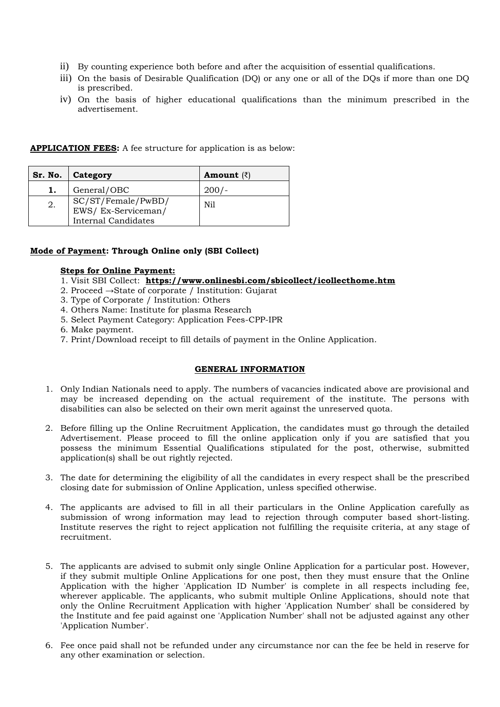- ii) By counting experience both before and after the acquisition of essential qualifications.
- iii) On the basis of Desirable Qualification (DQ) or any one or all of the DQs if more than one DQ is prescribed.
- iv) On the basis of higher educational qualifications than the minimum prescribed in the advertisement.

| <b>APPLICATION FEES:</b> A fee structure for application is as below: |  |  |  |  |  |  |  |  |
|-----------------------------------------------------------------------|--|--|--|--|--|--|--|--|
|-----------------------------------------------------------------------|--|--|--|--|--|--|--|--|

|    | Sr. No.   Category                                                     | <b>Amount</b> $(\bar{z})$ |
|----|------------------------------------------------------------------------|---------------------------|
| ı. | General/OBC                                                            | $200/-$                   |
| 2. | SC/ST/Female/PwBD/<br>EWS/Ex-Serviceman/<br><b>Internal Candidates</b> | Ni1                       |

# **Mode of Payment: Through Online only (SBI Collect)**

## **Steps for Online Payment:**

- 1. Visit SBI Collect: **https://www.onlinesbi.com/sbicollect/icollecthome.htm**
- 2. Proceed →State of corporate / Institution: Gujarat
- 3. Type of Corporate / Institution: Others
- 4. Others Name: Institute for plasma Research
- 5. Select Payment Category: Application Fees-CPP-IPR
- 6. Make payment.
- 7. Print/Download receipt to fill details of payment in the Online Application.

#### **GENERAL INFORMATION**

- 1. Only Indian Nationals need to apply. The numbers of vacancies indicated above are provisional and may be increased depending on the actual requirement of the institute. The persons with disabilities can also be selected on their own merit against the unreserved quota.
- 2. Before filling up the Online Recruitment Application, the candidates must go through the detailed Advertisement. Please proceed to fill the online application only if you are satisfied that you possess the minimum Essential Qualifications stipulated for the post, otherwise, submitted application(s) shall be out rightly rejected.
- 3. The date for determining the eligibility of all the candidates in every respect shall be the prescribed closing date for submission of Online Application, unless specified otherwise.
- 4. The applicants are advised to fill in all their particulars in the Online Application carefully as submission of wrong information may lead to rejection through computer based short-listing. Institute reserves the right to reject application not fulfilling the requisite criteria, at any stage of recruitment.
- 5. The applicants are advised to submit only single Online Application for a particular post. However, if they submit multiple Online Applications for one post, then they must ensure that the Online Application with the higher 'Application ID Number' is complete in all respects including fee, wherever applicable. The applicants, who submit multiple Online Applications, should note that only the Online Recruitment Application with higher 'Application Number' shall be considered by the Institute and fee paid against one 'Application Number' shall not be adjusted against any other 'Application Number'.
- 6. Fee once paid shall not be refunded under any circumstance nor can the fee be held in reserve for any other examination or selection.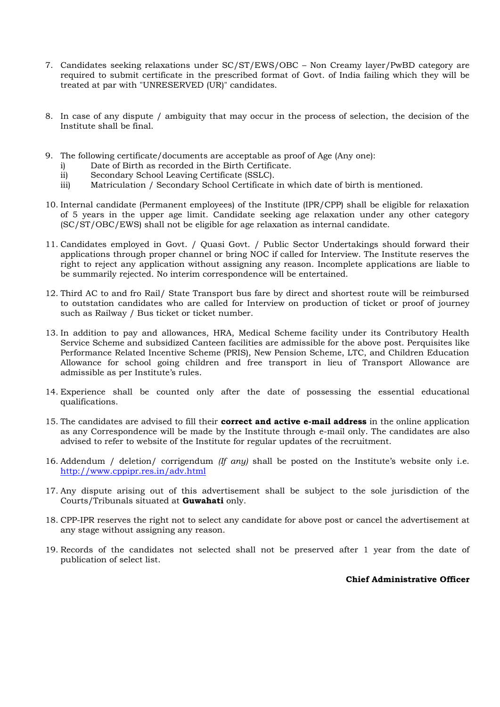- 7. Candidates seeking relaxations under SC/ST/EWS/OBC Non Creamy layer/PwBD category are required to submit certificate in the prescribed format of Govt. of India failing which they will be treated at par with "UNRESERVED (UR)" candidates.
- 8. In case of any dispute / ambiguity that may occur in the process of selection, the decision of the Institute shall be final.
- 9. The following certificate/documents are acceptable as proof of Age (Any one):
	- i) Date of Birth as recorded in the Birth Certificate.
	- ii) Secondary School Leaving Certificate (SSLC).
	- iii) Matriculation / Secondary School Certificate in which date of birth is mentioned.
- 10. Internal candidate (Permanent employees) of the Institute (IPR/CPP) shall be eligible for relaxation of 5 years in the upper age limit. Candidate seeking age relaxation under any other category (SC/ST/OBC/EWS) shall not be eligible for age relaxation as internal candidate.
- 11. Candidates employed in Govt. / Quasi Govt. / Public Sector Undertakings should forward their applications through proper channel or bring NOC if called for Interview. The Institute reserves the right to reject any application without assigning any reason. Incomplete applications are liable to be summarily rejected. No interim correspondence will be entertained.
- 12. Third AC to and fro Rail/ State Transport bus fare by direct and shortest route will be reimbursed to outstation candidates who are called for Interview on production of ticket or proof of journey such as Railway / Bus ticket or ticket number.
- 13. In addition to pay and allowances, HRA, Medical Scheme facility under its Contributory Health Service Scheme and subsidized Canteen facilities are admissible for the above post. Perquisites like Performance Related Incentive Scheme (PRIS), New Pension Scheme, LTC, and Children Education Allowance for school going children and free transport in lieu of Transport Allowance are admissible as per Institute's rules.
- 14. Experience shall be counted only after the date of possessing the essential educational qualifications.
- 15. The candidates are advised to fill their **correct and active e-mail address** in the online application as any Correspondence will be made by the Institute through e-mail only. The candidates are also advised to refer to website of the Institute for regular updates of the recruitment.
- 16. Addendum / deletion/ corrigendum *(If any)* shall be posted on the Institute's website only i.e. http://www.cppipr.res.in/adv.html
- 17. Any dispute arising out of this advertisement shall be subject to the sole jurisdiction of the Courts/Tribunals situated at **Guwahati** only.
- 18. CPP-IPR reserves the right not to select any candidate for above post or cancel the advertisement at any stage without assigning any reason.
- 19. Records of the candidates not selected shall not be preserved after 1 year from the date of publication of select list.

#### **Chief Administrative Officer**